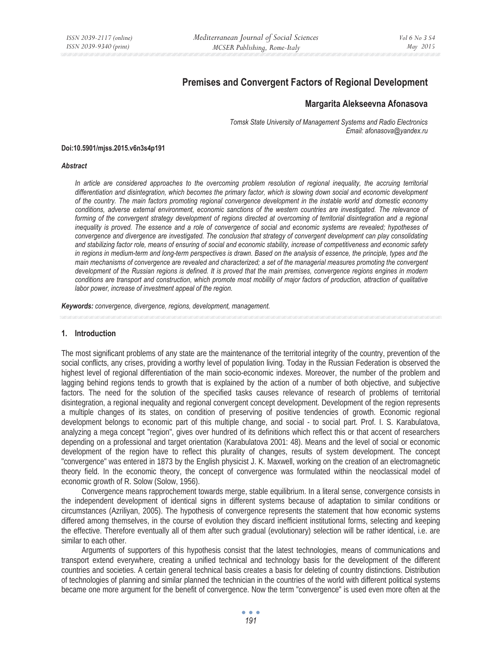# **Premises and Convergent Factors of Regional Development**

### **Margarita Alekseevna Afonasova**

*Tomsk State University of Management Systems and Radio Electronics Email: afonasova@yandex.ru* 

#### **Doi:10.5901/mjss.2015.v6n3s4p191**

#### *Abstract*

In article are considered approaches to the overcoming problem resolution of regional inequality, the accruing territorial differentiation and disintegration, which becomes the primary factor, which is slowing down social and economic development *of the country. The main factors promoting regional convergence development in the instable world and domestic economy conditions, adverse external environment, economic sanctions of the western countries are investigated. The relevance of*  forming of the convergent strategy development of regions directed at overcoming of territorial disintegration and a regional *inequality is proved. The essence and a role of convergence of social and economic systems are revealed; hypotheses of convergence and divergence are investigated. The conclusion that strategy of convergent development can play consolidating and stabilizing factor role, means of ensuring of social and economic stability, increase of competitiveness and economic safety*  in regions in medium-term and long-term perspectives is drawn. Based on the analysis of essence, the principle, types and the *main mechanisms of convergence are revealed and characterized; a set of the managerial measures promoting the convergent*  development of the Russian regions is defined. It is proved that the main premises, convergence regions engines in modern *conditions are transport and construction, which promote most mobility of major factors of production, attraction of qualitative labor power, increase of investment appeal of the region.* 

*Keywords: convergence, divergence, regions, development, management.*

#### **1. Introduction**

The most significant problems of any state are the maintenance of the territorial integrity of the country, prevention of the social conflicts, any crises, providing a worthy level of population living. Today in the Russian Federation is observed the highest level of regional differentiation of the main socio-economic indexes. Moreover, the number of the problem and lagging behind regions tends to growth that is explained by the action of a number of both objective, and subjective factors. The need for the solution of the specified tasks causes relevance of research of problems of territorial disintegration, a regional inequality and regional convergent concept development. Development of the region represents a multiple changes of its states, on condition of preserving of positive tendencies of growth. Economic regional development belongs to economic part of this multiple change, and social - to social part. Prof. I. S. Karabulatova, analyzing a mega concept "region", gives over hundred of its definitions which reflect this or that accent of researchers depending on a professional and target orientation (Karabulatova 2001: 48). Means and the level of social or economic development of the region have to reflect this plurality of changes, results of system development. The concept "convergence" was entered in 1873 by the English physicist J. K. Maxwell, working on the creation of an electromagnetic theory field. In the economic theory, the concept of convergence was formulated within the neoclassical model of economic growth of R. Solow (Solow, 1956).

Convergence means rapprochement towards merge, stable equilibrium. In a literal sense, convergence consists in the independent development of identical signs in different systems because of adaptation to similar conditions or circumstances (Azriliyan, 2005). The hypothesis of convergence represents the statement that how economic systems differed among themselves, in the course of evolution they discard inefficient institutional forms, selecting and keeping the effective. Therefore eventually all of them after such gradual (evolutionary) selection will be rather identical, i.e. are similar to each other.

Arguments of supporters of this hypothesis consist that the latest technologies, means of communications and transport extend everywhere, creating a unified technical and technology basis for the development of the different countries and societies. A certain general technical basis creates a basis for deleting of country distinctions. Distribution of technologies of planning and similar planned the technician in the countries of the world with different political systems became one more argument for the benefit of convergence. Now the term "convergence" is used even more often at the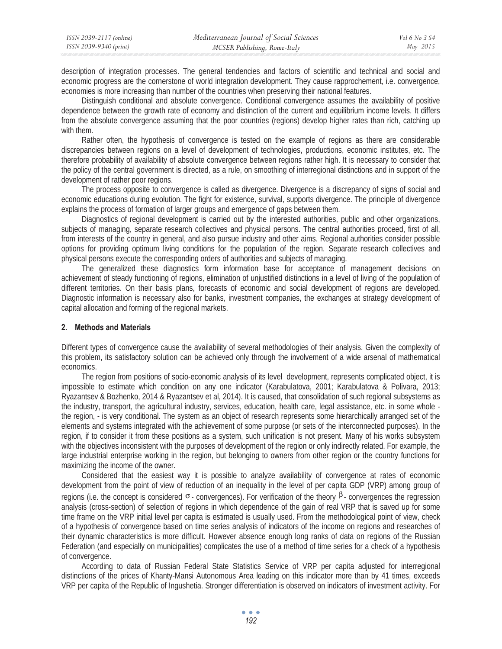description of integration processes. The general tendencies and factors of scientific and technical and social and economic progress are the cornerstone of world integration development. They cause rapprochement, i.e. convergence, economies is more increasing than number of the countries when preserving their national features.

Distinguish conditional and absolute convergence. Conditional convergence assumes the availability of positive dependence between the growth rate of economy and distinction of the current and equilibrium income levels. It differs from the absolute convergence assuming that the poor countries (regions) develop higher rates than rich, catching up with them.

Rather often, the hypothesis of convergence is tested on the example of regions as there are considerable discrepancies between regions on a level of development of technologies, productions, economic institutes, etc. The therefore probability of availability of absolute convergence between regions rather high. It is necessary to consider that the policy of the central government is directed, as a rule, on smoothing of interregional distinctions and in support of the development of rather poor regions.

The process opposite to convergence is called as divergence. Divergence is a discrepancy of signs of social and economic educations during evolution. The fight for existence, survival, supports divergence. The principle of divergence explains the process of formation of larger groups and emergence of gaps between them.

Diagnostics of regional development is carried out by the interested authorities, public and other organizations, subjects of managing, separate research collectives and physical persons. The central authorities proceed, first of all, from interests of the country in general, and also pursue industry and other aims. Regional authorities consider possible options for providing optimum living conditions for the population of the region. Separate research collectives and physical persons execute the corresponding orders of authorities and subjects of managing.

The generalized these diagnostics form information base for acceptance of management decisions on achievement of steady functioning of regions, elimination of unjustified distinctions in a level of living of the population of different territories. On their basis plans, forecasts of economic and social development of regions are developed. Diagnostic information is necessary also for banks, investment companies, the exchanges at strategy development of capital allocation and forming of the regional markets.

### **2. Methods and Materials**

Different types of convergence cause the availability of several methodologies of their analysis. Given the complexity of this problem, its satisfactory solution can be achieved only through the involvement of a wide arsenal of mathematical economics.

The region from positions of socio-economic analysis of its level development, represents complicated object, it is impossible to estimate which condition on any one indicator (Karabulatova, 2001; Karabulatova & Polivara, 2013; Ryazantsev & Bozhenko, 2014 & Ryazantsev et al, 2014). It is caused, that consolidation of such regional subsystems as the industry, transport, the agricultural industry, services, education, health care, legal assistance, etc. in some whole the region, - is very conditional. The system as an object of research represents some hierarchically arranged set of the elements and systems integrated with the achievement of some purpose (or sets of the interconnected purposes). In the region, if to consider it from these positions as a system, such unification is not present. Many of his works subsystem with the objectives inconsistent with the purposes of development of the region or only indirectly related. For example, the large industrial enterprise working in the region, but belonging to owners from other region or the country functions for maximizing the income of the owner.

Considered that the easiest way it is possible to analyze availability of convergence at rates of economic development from the point of view of reduction of an inequality in the level of per capita GDP (VRP) among group of regions (i.e. the concept is considered  $\sigma$  - convergences). For verification of the theory  $β$  - convergences the regression analysis (cross-section) of selection of regions in which dependence of the gain of real VRP that is saved up for some time frame on the VRP initial level per capita is estimated is usually used. From the methodological point of view, check of a hypothesis of convergence based on time series analysis of indicators of the income on regions and researches of their dynamic characteristics is more difficult. However absence enough long ranks of data on regions of the Russian Federation (and especially on municipalities) complicates the use of a method of time series for a check of a hypothesis of convergence.

According to data of Russian Federal State Statistics Service of VRP per capita adjusted for interregional distinctions of the prices of Khanty-Mansi Autonomous Area leading on this indicator more than by 41 times, exceeds VRP per capita of the Republic of Ingushetia. Stronger differentiation is observed on indicators of investment activity. For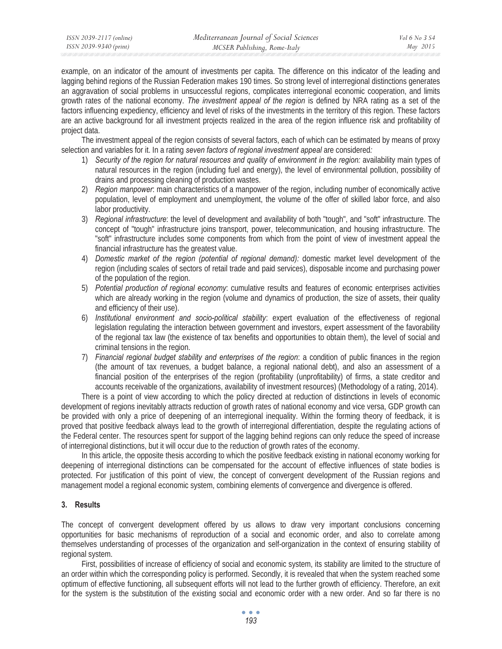| ISSN 2039-2117 (online) | Mediterranean Journal of Social Sciences | Vol 6 No 3 S4 |
|-------------------------|------------------------------------------|---------------|
| ISSN 2039-9340 (print)  | MCSER Publishing, Rome-Italy             | May 2015      |

example, on an indicator of the amount of investments per capita. The difference on this indicator of the leading and lagging behind regions of the Russian Federation makes 190 times. So strong level of interregional distinctions generates an aggravation of social problems in unsuccessful regions, complicates interregional economic cooperation, and limits growth rates of the national economy. *The investment appeal of the region* is defined by NRA rating as a set of the factors influencing expediency, efficiency and level of risks of the investments in the territory of this region. These factors are an active background for all investment projects realized in the area of the region influence risk and profitability of project data.

The investment appeal of the region consists of several factors, each of which can be estimated by means of proxy selection and variables for it. In a rating *seven factors of regional investment appeal* are considered*:* 

- 1) *Security of the region for natural resources and quality of environment in the region:* availability main types of natural resources in the region (including fuel and energy), the level of environmental pollution, possibility of drains and processing cleaning of production wastes.
- 2) *Region manpower*: main characteristics of a manpower of the region, including number of economically active population, level of employment and unemployment, the volume of the offer of skilled labor force, and also labor productivity.
- 3) *Regional infrastructure*: the level of development and availability of both "tough", and "soft" infrastructure. The concept of "tough" infrastructure joins transport, power, telecommunication, and housing infrastructure. The "soft" infrastructure includes some components from which from the point of view of investment appeal the financial infrastructure has the greatest value.
- 4) *Domestic market of the region (potential of regional demand):* domestic market level development of the region (including scales of sectors of retail trade and paid services), disposable income and purchasing power of the population of the region.
- 5) *Potential production of regional economy*: cumulative results and features of economic enterprises activities which are already working in the region (volume and dynamics of production, the size of assets, their quality and efficiency of their use).
- 6) *Institutional environment and socio-political stability*: expert evaluation of the effectiveness of regional legislation regulating the interaction between government and investors, expert assessment of the favorability of the regional tax law (the existence of tax benefits and opportunities to obtain them), the level of social and criminal tensions in the region.
- 7) *Financial regional budget stability and enterprises of the region*: a condition of public finances in the region (the amount of tax revenues, a budget balance, a regional national debt), and also an assessment of a financial position of the enterprises of the region (profitability (unprofitability) of firms, a state creditor and accounts receivable of the organizations, availability of investment resources) (Methodology of a rating, 2014).

There is a point of view according to which the policy directed at reduction of distinctions in levels of economic development of regions inevitably attracts reduction of growth rates of national economy and vice versa, GDP growth can be provided with only a price of deepening of an interregional inequality. Within the forming theory of feedback, it is proved that positive feedback always lead to the growth of interregional differentiation, despite the regulating actions of the Federal center. The resources spent for support of the lagging behind regions can only reduce the speed of increase of interregional distinctions, but it will occur due to the reduction of growth rates of the economy.

In this article, the opposite thesis according to which the positive feedback existing in national economy working for deepening of interregional distinctions can be compensated for the account of effective influences of state bodies is protected. For justification of this point of view, the concept of convergent development of the Russian regions and management model a regional economic system, combining elements of convergence and divergence is offered.

## **3. Results**

The concept of convergent development offered by us allows to draw very important conclusions concerning opportunities for basic mechanisms of reproduction of a social and economic order, and also to correlate among themselves understanding of processes of the organization and self-organization in the context of ensuring stability of regional system.

First, possibilities of increase of efficiency of social and economic system, its stability are limited to the structure of an order within which the corresponding policy is performed. Secondly, it is revealed that when the system reached some optimum of effective functioning, all subsequent efforts will not lead to the further growth of efficiency. Therefore, an exit for the system is the substitution of the existing social and economic order with a new order. And so far there is no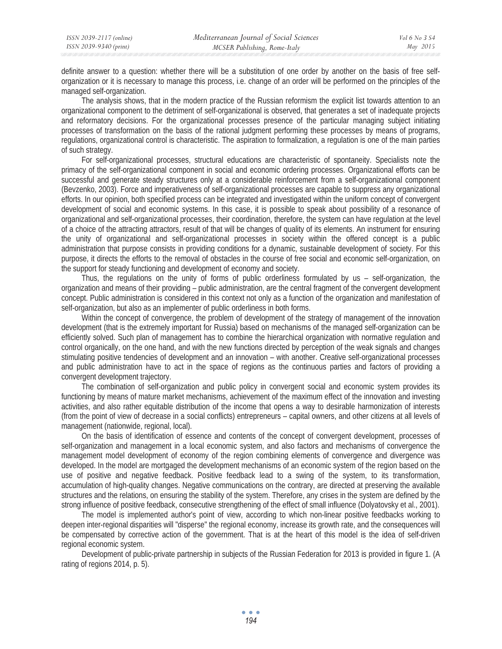definite answer to a question: whether there will be a substitution of one order by another on the basis of free selforganization or it is necessary to manage this process, i.e. change of an order will be performed on the principles of the managed self-organization.

The analysis shows, that in the modern practice of the Russian reformism the explicit list towards attention to an organizational component to the detriment of self-organizational is observed, that generates a set of inadequate projects and reformatory decisions. For the organizational processes presence of the particular managing subject initiating processes of transformation on the basis of the rational judgment performing these processes by means of programs, regulations, organizational control is characteristic. The aspiration to formalization, a regulation is one of the main parties of such strategy.

For self-organizational processes, structural educations are characteristic of spontaneity. Specialists note the primacy of the self-organizational component in social and economic ordering processes. Organizational efforts can be successful and generate steady structures only at a considerable reinforcement from a self-organizational component (Bevzenko, 2003). Force and imperativeness of self-organizational processes are capable to suppress any organizational efforts. In our opinion, both specified process can be integrated and investigated within the uniform concept of convergent development of social and economic systems. In this case, it is possible to speak about possibility of a resonance of organizational and self-organizational processes, their coordination, therefore, the system can have regulation at the level of a choice of the attracting attractors, result of that will be changes of quality of its elements. An instrument for ensuring the unity of organizational and self-organizational processes in society within the offered concept is a public administration that purpose consists in providing conditions for a dynamic, sustainable development of society. For this purpose, it directs the efforts to the removal of obstacles in the course of free social and economic self-organization, on the support for steady functioning and development of economy and society.

Thus, the regulations on the unity of forms of public orderliness formulated by us – self-organization, the organization and means of their providing – public administration, are the central fragment of the convergent development concept. Public administration is considered in this context not only as a function of the organization and manifestation of self-organization, but also as an implementer of public orderliness in both forms.

Within the concept of convergence, the problem of development of the strategy of management of the innovation development (that is the extremely important for Russia) based on mechanisms of the managed self-organization can be efficiently solved. Such plan of management has to combine the hierarchical organization with normative regulation and control organically, on the one hand, and with the new functions directed by perception of the weak signals and changes stimulating positive tendencies of development and an innovation – with another. Creative self-organizational processes and public administration have to act in the space of regions as the continuous parties and factors of providing a convergent development trajectory.

The combination of self-organization and public policy in convergent social and economic system provides its functioning by means of mature market mechanisms, achievement of the maximum effect of the innovation and investing activities, and also rather equitable distribution of the income that opens a way to desirable harmonization of interests (from the point of view of decrease in a social conflicts) entrepreneurs – capital owners, and other citizens at all levels of management (nationwide, regional, local).

On the basis of identification of essence and contents of the concept of convergent development, processes of self-organization and management in a local economic system, and also factors and mechanisms of convergence the management model development of economy of the region combining elements of convergence and divergence was developed. In the model are mortgaged the development mechanisms of an economic system of the region based on the use of positive and negative feedback. Positive feedback lead to a swing of the system, to its transformation, accumulation of high-quality changes. Negative communications on the contrary, are directed at preserving the available structures and the relations, on ensuring the stability of the system. Therefore, any crises in the system are defined by the strong influence of positive feedback, consecutive strengthening of the effect of small influence (Dolyatovsky et al., 2001).

The model is implemented author's point of view, according to which non-linear positive feedbacks working to deepen inter-regional disparities will "disperse" the regional economy, increase its growth rate, and the consequences will be compensated by corrective action of the government. That is at the heart of this model is the idea of self-driven regional economic system.

Development of public-private partnership in subjects of the Russian Federation for 2013 is provided in figure 1. (A rating of regions 2014, p. 5).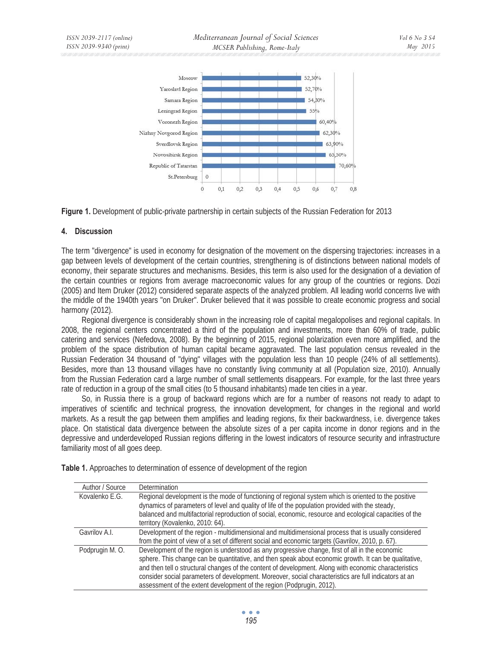

**Figure 1.** Development of public-private partnership in certain subjects of the Russian Federation for 2013

# **4. Discussion**

The term "divergence" is used in economy for designation of the movement on the dispersing trajectories: increases in a gap between levels of development of the certain countries, strengthening is of distinctions between national models of economy, their separate structures and mechanisms. Besides, this term is also used for the designation of a deviation of the certain countries or regions from average macroeconomic values for any group of the countries or regions. Dozi (2005) and Item Druker (2012) considered separate aspects of the analyzed problem. All leading world concerns live with the middle of the 1940th years "on Druker". Druker believed that it was possible to create economic progress and social harmony (2012).

Regional divergence is considerably shown in the increasing role of capital megalopolises and regional capitals. In 2008, the regional centers concentrated a third of the population and investments, more than 60% of trade, public catering and services (Nefedova, 2008). By the beginning of 2015, regional polarization even more amplified, and the problem of the space distribution of human capital became aggravated. The last population census revealed in the Russian Federation 34 thousand of "dying" villages with the population less than 10 people (24% of all settlements). Besides, more than 13 thousand villages have no constantly living community at all (Population size, 2010). Annually from the Russian Federation card a large number of small settlements disappears. For example, for the last three years rate of reduction in a group of the small cities (to 5 thousand inhabitants) made ten cities in a year.

So, in Russia there is a group of backward regions which are for a number of reasons not ready to adapt to imperatives of scientific and technical progress, the innovation development, for changes in the regional and world markets. As a result the gap between them amplifies and leading regions, fix their backwardness, i.e. divergence takes place. On statistical data divergence between the absolute sizes of a per capita income in donor regions and in the depressive and underdeveloped Russian regions differing in the lowest indicators of resource security and infrastructure familiarity most of all goes deep.

**Table 1.** Approaches to determination of essence of development of the region

| Author / Source | Determination                                                                                                                                                                                                                                                                                                                                          |
|-----------------|--------------------------------------------------------------------------------------------------------------------------------------------------------------------------------------------------------------------------------------------------------------------------------------------------------------------------------------------------------|
| Kovalenko E.G.  | Regional development is the mode of functioning of regional system which is oriented to the positive<br>dynamics of parameters of level and quality of life of the population provided with the steady,<br>balanced and multifactorial reproduction of social, economic, resource and ecological capacities of the<br>territory (Kovalenko, 2010: 64). |
| Gavrilov A.I.   | Development of the region - multidimensional and multidimensional process that is usually considered                                                                                                                                                                                                                                                   |
|                 | from the point of view of a set of different social and economic targets (Gavrilov, 2010, p. 67).                                                                                                                                                                                                                                                      |
| Podprugin M. O. | Development of the region is understood as any progressive change, first of all in the economic                                                                                                                                                                                                                                                        |
|                 | sphere. This change can be quantitative, and then speak about economic growth. It can be qualitative,                                                                                                                                                                                                                                                  |
|                 | and then tell o structural changes of the content of development. Along with economic characteristics                                                                                                                                                                                                                                                  |
|                 | consider social parameters of development. Moreover, social characteristics are full indicators at an                                                                                                                                                                                                                                                  |
|                 | assessment of the extent development of the region (Podprugin, 2012).                                                                                                                                                                                                                                                                                  |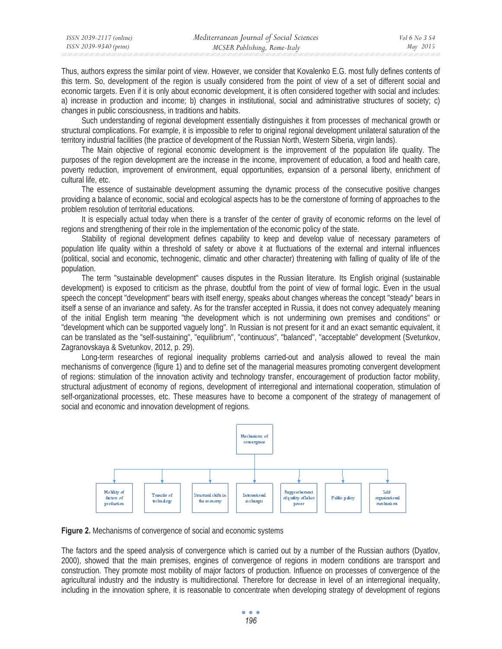Thus, authors express the similar point of view. However, we consider that Kovalenko E.G. most fully defines contents of this term. So, development of the region is usually considered from the point of view of a set of different social and economic targets. Even if it is only about economic development, it is often considered together with social and includes: a) increase in production and income; b) changes in institutional, social and administrative structures of society; c) changes in public consciousness, in traditions and habits.

Such understanding of regional development essentially distinguishes it from processes of mechanical growth or structural complications. For example, it is impossible to refer to original regional development unilateral saturation of the territory industrial facilities (the practice of development of the Russian North, Western Siberia, virgin lands).

The Main objective of regional economic development is the improvement of the population life quality. The purposes of the region development are the increase in the income, improvement of education, a food and health care, poverty reduction, improvement of environment, equal opportunities, expansion of a personal liberty, enrichment of cultural life, etc.

The essence of sustainable development assuming the dynamic process of the consecutive positive changes providing a balance of economic, social and ecological aspects has to be the cornerstone of forming of approaches to the problem resolution of territorial educations.

It is especially actual today when there is a transfer of the center of gravity of economic reforms on the level of regions and strengthening of their role in the implementation of the economic policy of the state.

Stability of regional development defines capability to keep and develop value of necessary parameters of population life quality within a threshold of safety or above it at fluctuations of the external and internal influences (political, social and economic, technogenic, climatic and other character) threatening with falling of quality of life of the population.

The term "sustainable development" causes disputes in the Russian literature. Its English original (sustainable development) is exposed to criticism as the phrase, doubtful from the point of view of formal logic. Even in the usual speech the concept "development" bears with itself energy, speaks about changes whereas the concept "steady" bears in itself a sense of an invariance and safety. As for the transfer accepted in Russia, it does not convey adequately meaning of the initial English term meaning "the development which is not undermining own premises and conditions" or "development which can be supported vaguely long". In Russian is not present for it and an exact semantic equivalent, it can be translated as the "self-sustaining", "equilibrium", "continuous", "balanced", "acceptable" development (Svetunkov, Zagranovskaya & Svetunkov, 2012, p. 29).

Long-term researches of regional inequality problems carried-out and analysis allowed to reveal the main mechanisms of convergence (figure 1) and to define set of the managerial measures promoting convergent development of regions: stimulation of the innovation activity and technology transfer, encouragement of production factor mobility, structural adjustment of economy of regions, development of interregional and international cooperation, stimulation of self-organizational processes, etc. These measures have to become a component of the strategy of management of social and economic and innovation development of regions.



**Figure 2.** Mechanisms of convergence of social and economic systems

The factors and the speed analysis of convergence which is carried out by a number of the Russian authors (Dyatlov, 2000), showed that the main premises, engines of convergence of regions in modern conditions are transport and construction. They promote most mobility of major factors of production. Influence on processes of convergence of the agricultural industry and the industry is multidirectional. Therefore for decrease in level of an interregional inequality, including in the innovation sphere, it is reasonable to concentrate when developing strategy of development of regions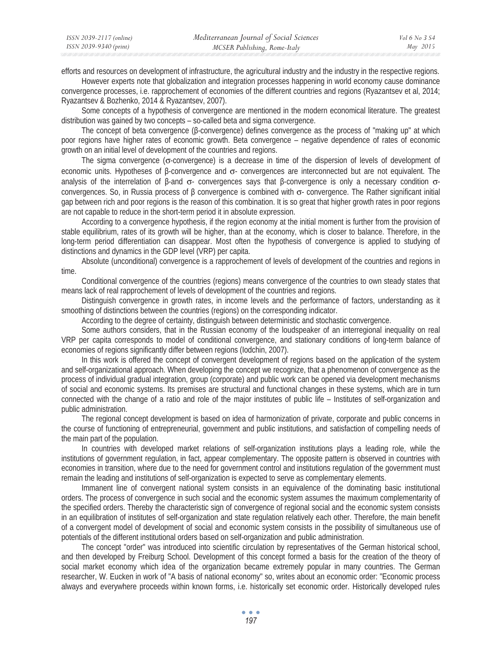| ISSN 2039-2117 (online) | Mediterranean Journal of Social Sciences | Vol 6 No. 3 S4 |
|-------------------------|------------------------------------------|----------------|
| ISSN 2039-9340 (print)  | MCSER Publishing, Rome-Italy             | May 2015       |

efforts and resources on development of infrastructure, the agricultural industry and the industry in the respective regions.

However experts note that globalization and integration processes happening in world economy cause dominance convergence processes, i.e. rapprochement of economies of the different countries and regions (Ryazantsev et al, 2014; Ryazantsev & Bozhenko, 2014 & Ryazantsev, 2007).

Some concepts of a hypothesis of convergence are mentioned in the modern economical literature. The greatest distribution was gained by two concepts – so-called beta and sigma convergence.

The concept of beta convergence ( $\beta$ -convergence) defines convergence as the process of "making up" at which poor regions have higher rates of economic growth. Beta convergence – negative dependence of rates of economic growth on an initial level of development of the countries and regions.

The sigma convergence (σ-convergence) is a decrease in time of the dispersion of levels of development of economic units. Hypotheses of β-convergence and  $\sigma$ - convergences are interconnected but are not equivalent. The analysis of the interrelation of  $\beta$ -and  $\sigma$ - convergences says that  $\beta$ -convergence is only a necessary condition  $\sigma$ convergences. So, in Russia process of  $\beta$  convergence is combined with  $\sigma$ - convergence. The Rather significant initial gap between rich and poor regions is the reason of this combination. It is so great that higher growth rates in poor regions are not capable to reduce in the short-term period it in absolute expression.

According to a convergence hypothesis, if the region economy at the initial moment is further from the provision of stable equilibrium, rates of its growth will be higher, than at the economy, which is closer to balance. Therefore, in the long-term period differentiation can disappear. Most often the hypothesis of convergence is applied to studying of distinctions and dynamics in the GDP level (VRP) per capita.

Absolute (unconditional) convergence is a rapprochement of levels of development of the countries and regions in time.

Conditional convergence of the countries (regions) means convergence of the countries to own steady states that means lack of real rapprochement of levels of development of the countries and regions.

Distinguish convergence in growth rates, in income levels and the performance of factors, understanding as it smoothing of distinctions between the countries (regions) on the corresponding indicator.

According to the degree of certainty, distinguish between deterministic and stochastic convergence.

Some authors considers, that in the Russian economy of the loudspeaker of an interregional inequality on real VRP per capita corresponds to model of conditional convergence, and stationary conditions of long-term balance of economies of regions significantly differ between regions (Iodchin, 2007).

In this work is offered the concept of convergent development of regions based on the application of the system and self-organizational approach. When developing the concept we recognize, that a phenomenon of convergence as the process of individual gradual integration, group (corporate) and public work can be opened via development mechanisms of social and economic systems. Its premises are structural and functional changes in these systems, which are in turn connected with the change of a ratio and role of the major institutes of public life – Institutes of self-organization and public administration.

The regional concept development is based on idea of harmonization of private, corporate and public concerns in the course of functioning of entrepreneurial, government and public institutions, and satisfaction of compelling needs of the main part of the population.

In countries with developed market relations of self-organization institutions plays a leading role, while the institutions of government regulation, in fact, appear complementary. The opposite pattern is observed in countries with economies in transition, where due to the need for government control and institutions regulation of the government must remain the leading and institutions of self-organization is expected to serve as complementary elements.

Immanent line of convergent national system consists in an equivalence of the dominating basic institutional orders. The process of convergence in such social and the economic system assumes the maximum complementarity of the specified orders. Thereby the characteristic sign of convergence of regional social and the economic system consists in an equilibration of institutes of self-organization and state regulation relatively each other. Therefore, the main benefit of a convergent model of development of social and economic system consists in the possibility of simultaneous use of potentials of the different institutional orders based on self-organization and public administration.

The concept "order" was introduced into scientific circulation by representatives of the German historical school, and then developed by Freiburg School. Development of this concept formed a basis for the creation of the theory of social market economy which idea of the organization became extremely popular in many countries. The German researcher, W. Eucken in work of "A basis of national economy" so, writes about an economic order: "Economic process always and everywhere proceeds within known forms, i.e. historically set economic order. Historically developed rules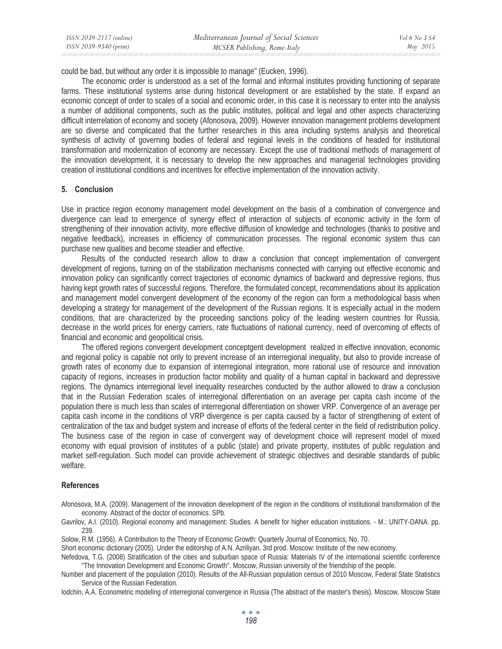could be bad, but without any order it is impossible to manage" (Eucken, 1996).

The economic order is understood as a set of the formal and informal institutes providing functioning of separate farms. These institutional systems arise during historical development or are established by the state. If expand an economic concept of order to scales of a social and economic order, in this case it is necessary to enter into the analysis a number of additional components, such as the public institutes, political and legal and other aspects characterizing difficult interrelation of economy and society (Afonosova, 2009). However innovation management problems development are so diverse and complicated that the further researches in this area including systems analysis and theoretical synthesis of activity of governing bodies of federal and regional levels in the conditions of headed for institutional transformation and modernization of economy are necessary. Except the use of traditional methods of management of the innovation development, it is necessary to develop the new approaches and managerial technologies providing creation of institutional conditions and incentives for effective implementation of the innovation activity.

#### **5. Conclusion**

Use in practice region economy management model development on the basis of a combination of convergence and divergence can lead to emergence of synergy effect of interaction of subjects of economic activity in the form of strengthening of their innovation activity, more effective diffusion of knowledge and technologies (thanks to positive and negative feedback), increases in efficiency of communication processes. The regional economic system thus can purchase new qualities and become steadier and effective.

Results of the conducted research allow to draw a conclusion that concept implementation of convergent development of regions, turning on of the stabilization mechanisms connected with carrying out effective economic and innovation policy can significantly correct trajectories of economic dynamics of backward and depressive regions, thus having kept growth rates of successful regions. Therefore, the formulated concept, recommendations about its application and management model convergent development of the economy of the region can form a methodological basis when developing a strategy for management of the development of the Russian regions. It is especially actual in the modern conditions, that are characterized by the proceeding sanctions policy of the leading western countries for Russia, decrease in the world prices for energy carriers, rate fluctuations of national currency, need of overcoming of effects of financial and economic and geopolitical crisis.

The offered regions convergent development conceptgent development realized in effective innovation, economic and regional policy is capable not only to prevent increase of an interregional inequality, but also to provide increase of growth rates of economy due to expansion of interregional integration, more rational use of resource and innovation capacity of regions, increases in production factor mobility and quality of a human capital in backward and depressive regions. The dynamics interregional level inequality researches conducted by the author allowed to draw a conclusion that in the Russian Federation scales of interregional differentiation on an average per capita cash income of the population there is much less than scales of interregional differentiation on shower VRP. Convergence of an average per capita cash income in the conditions of VRP divergence is per capita caused by a factor of strengthening of extent of centralization of the tax and budget system and increase of efforts of the federal center in the field of redistribution policy. The business case of the region in case of convergent way of development choice will represent model of mixed economy with equal provision of institutes of a public (state) and private property, institutes of public regulation and market self-regulation. Such model can provide achievement of strategic objectives and desirable standards of public welfare.

#### **References**

Afonosova, M.A. (2009). Management of the innovation development of the region in the conditions of institutional transformation of the economy. Abstract of the doctor of economics. SPb.

Gavrilov, A.I. (2010). Regional economy and management: Studies. A benefit for higher education institutions. - M.: UNITY-DANA. pp. 239.

Solow, R.M. (1956). A Contribution to the Theory of Economic Growth: Quarterly Journal of Economics, No. 70.

Short economic dictionary (2005). Under the editorship of A.N. Azriliyan. 3rd prod. Moscow: Institute of the new economy.

Nefedova, T.G. (2008) Stratification of the cities and suburban space of Russia: Materials IV of the international scientific conference "The Innovation Development and Economic Growth". Moscow, Russian university of the friendship of the people.

Number and placement of the population (2010). Results of the All-Russian population census of 2010 Moscow, Federal State Statistics Service of the Russian Federation.

Iodchin, A.A. Econometric modeling of interregional convergence in Russia (The abstract of the master's thesis). Moscow, Moscow State